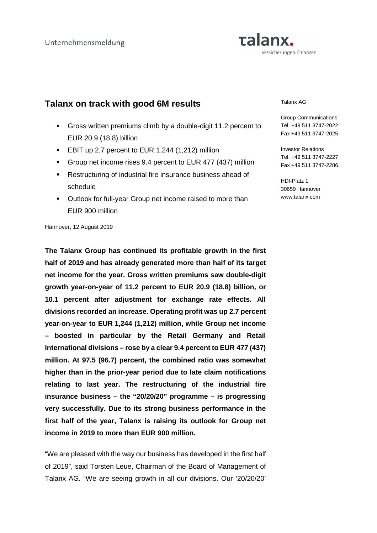# Talanx. Versicherungen. Finanzen.

# **Talanx on track with good 6M results**

- Gross written premiums climb by a double-digit 11.2 percent to EUR 20.9 (18.8) billion
- **EBIT up 2.7 percent to EUR 1,244 (1,212) million**
- Group net income rises 9.4 percent to EUR 477 (437) million
- **Restructuring of industrial fire insurance business ahead of** schedule
- Outlook for full-year Group net income raised to more than EUR 900 million

#### Talanx AG

Group Communications Tel. +49 511 3747-2022 Fax +49 511 3747-2025

Investor Relations Tel. +49 511 3747-2227 Fax +49 511 3747-2286

HDI-Platz 1 30659 Hannover www.talanx.com

Hannover, 12 August 2019

**The Talanx Group has continued its profitable growth in the first half of 2019 and has already generated more than half of its target net income for the year. Gross written premiums saw double-digit growth year-on-year of 11.2 percent to EUR 20.9 (18.8) billion, or 10.1 percent after adjustment for exchange rate effects. All divisions recorded an increase. Operating profit was up 2.7 percent year-on-year to EUR 1,244 (1,212) million, while Group net income – boosted in particular by the Retail Germany and Retail International divisions – rose by a clear 9.4 percent to EUR 477 (437) million. At 97.5 (96.7) percent, the combined ratio was somewhat higher than in the prior-year period due to late claim notifications relating to last year. The restructuring of the industrial fire insurance business – the "20/20/20" programme – is progressing very successfully. Due to its strong business performance in the first half of the year, Talanx is raising its outlook for Group net income in 2019 to more than EUR 900 million.** 

"We are pleased with the way our business has developed in the first half of 2019", said Torsten Leue, Chairman of the Board of Management of Talanx AG. "We are seeing growth in all our divisions. Our '20/20/20'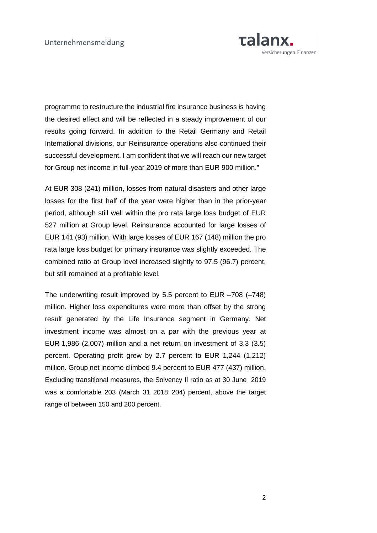

programme to restructure the industrial fire insurance business is having the desired effect and will be reflected in a steady improvement of our results going forward. In addition to the Retail Germany and Retail International divisions, our Reinsurance operations also continued their successful development. I am confident that we will reach our new target for Group net income in full-year 2019 of more than EUR 900 million."

At EUR 308 (241) million, losses from natural disasters and other large losses for the first half of the year were higher than in the prior-year period, although still well within the pro rata large loss budget of EUR 527 million at Group level. Reinsurance accounted for large losses of EUR 141 (93) million. With large losses of EUR 167 (148) million the pro rata large loss budget for primary insurance was slightly exceeded. The combined ratio at Group level increased slightly to 97.5 (96.7) percent, but still remained at a profitable level.

The underwriting result improved by 5.5 percent to EUR –708 (–748) million. Higher loss expenditures were more than offset by the strong result generated by the Life Insurance segment in Germany. Net investment income was almost on a par with the previous year at EUR 1,986 (2,007) million and a net return on investment of 3.3 (3.5) percent. Operating profit grew by 2.7 percent to EUR 1,244 (1,212) million. Group net income climbed 9.4 percent to EUR 477 (437) million. Excluding transitional measures, the Solvency II ratio as at 30 June 2019 was a comfortable 203 (March 31 2018: 204) percent, above the target range of between 150 and 200 percent.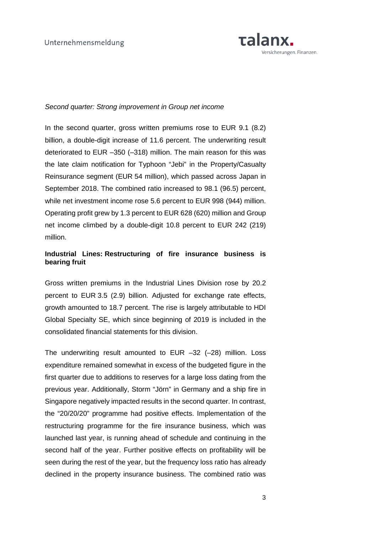

### Second quarter: Strong improvement in Group net income

In the second quarter, gross written premiums rose to EUR 9.1 (8.2) billion, a double-digit increase of 11.6 percent. The underwriting result deteriorated to EUR –350 (–318) million. The main reason for this was the late claim notification for Typhoon "Jebi" in the Property/Casualty Reinsurance segment (EUR 54 million), which passed across Japan in September 2018. The combined ratio increased to 98.1 (96.5) percent, while net investment income rose 5.6 percent to EUR 998 (944) million. Operating profit grew by 1.3 percent to EUR 628 (620) million and Group net income climbed by a double-digit 10.8 percent to EUR 242 (219) million.

# **Industrial Lines: Restructuring of fire insurance business is bearing fruit**

Gross written premiums in the Industrial Lines Division rose by 20.2 percent to EUR 3.5 (2.9) billion. Adjusted for exchange rate effects, growth amounted to 18.7 percent. The rise is largely attributable to HDI Global Specialty SE, which since beginning of 2019 is included in the consolidated financial statements for this division.

The underwriting result amounted to EUR –32 (–28) million. Loss expenditure remained somewhat in excess of the budgeted figure in the first quarter due to additions to reserves for a large loss dating from the previous year. Additionally, Storm "Jörn" in Germany and a ship fire in Singapore negatively impacted results in the second quarter. In contrast, the "20/20/20" programme had positive effects. Implementation of the restructuring programme for the fire insurance business, which was launched last year, is running ahead of schedule and continuing in the second half of the year. Further positive effects on profitability will be seen during the rest of the year, but the frequency loss ratio has already declined in the property insurance business. The combined ratio was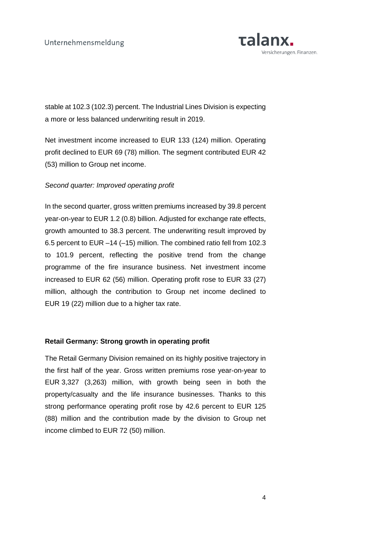

stable at 102.3 (102.3) percent. The Industrial Lines Division is expecting a more or less balanced underwriting result in 2019.

Net investment income increased to EUR 133 (124) million. Operating profit declined to EUR 69 (78) million. The segment contributed EUR 42 (53) million to Group net income.

## Second quarter: Improved operating profit

In the second quarter, gross written premiums increased by 39.8 percent year-on-year to EUR 1.2 (0.8) billion. Adjusted for exchange rate effects, growth amounted to 38.3 percent. The underwriting result improved by 6.5 percent to EUR –14 (–15) million. The combined ratio fell from 102.3 to 101.9 percent, reflecting the positive trend from the change programme of the fire insurance business. Net investment income increased to EUR 62 (56) million. Operating profit rose to EUR 33 (27) million, although the contribution to Group net income declined to EUR 19 (22) million due to a higher tax rate.

## **Retail Germany: Strong growth in operating profit**

The Retail Germany Division remained on its highly positive trajectory in the first half of the year. Gross written premiums rose year-on-year to EUR 3,327 (3,263) million, with growth being seen in both the property/casualty and the life insurance businesses. Thanks to this strong performance operating profit rose by 42.6 percent to EUR 125 (88) million and the contribution made by the division to Group net income climbed to EUR 72 (50) million.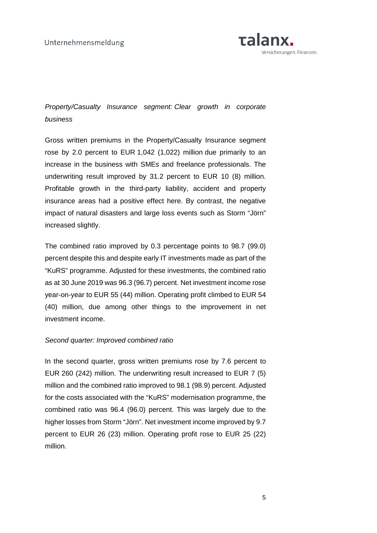

# Property/Casualty Insurance segment: Clear growth in corporate business

Gross written premiums in the Property/Casualty Insurance segment rose by 2.0 percent to EUR 1,042 (1,022) million due primarily to an increase in the business with SMEs and freelance professionals. The underwriting result improved by 31.2 percent to EUR 10 (8) million. Profitable growth in the third-party liability, accident and property insurance areas had a positive effect here. By contrast, the negative impact of natural disasters and large loss events such as Storm "Jörn" increased slightly.

The combined ratio improved by 0.3 percentage points to 98.7 (99.0) percent despite this and despite early IT investments made as part of the "KuRS" programme. Adjusted for these investments, the combined ratio as at 30 June 2019 was 96.3 (96.7) percent. Net investment income rose year-on-year to EUR 55 (44) million. Operating profit climbed to EUR 54 (40) million, due among other things to the improvement in net investment income.

## Second quarter: Improved combined ratio

In the second quarter, gross written premiums rose by 7.6 percent to EUR 260 (242) million. The underwriting result increased to EUR 7 (5) million and the combined ratio improved to 98.1 (98.9) percent. Adjusted for the costs associated with the "KuRS" modernisation programme, the combined ratio was 96.4 (96.0) percent. This was largely due to the higher losses from Storm "Jörn". Net investment income improved by 9.7 percent to EUR 26 (23) million. Operating profit rose to EUR 25 (22) million.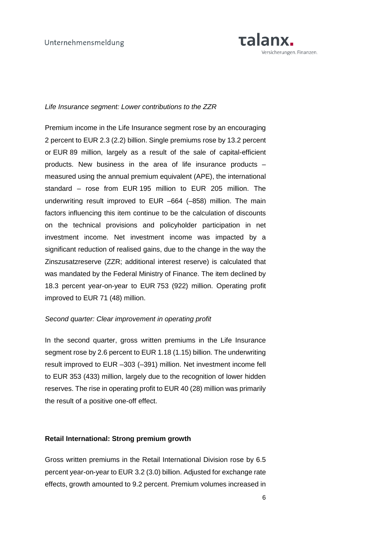

### Life Insurance segment: Lower contributions to the ZZR

Premium income in the Life Insurance segment rose by an encouraging 2 percent to EUR 2.3 (2.2) billion. Single premiums rose by 13.2 percent or EUR 89 million, largely as a result of the sale of capital-efficient products. New business in the area of life insurance products – measured using the annual premium equivalent (APE), the international standard – rose from EUR 195 million to EUR 205 million. The underwriting result improved to EUR –664 (–858) million. The main factors influencing this item continue to be the calculation of discounts on the technical provisions and policyholder participation in net investment income. Net investment income was impacted by a significant reduction of realised gains, due to the change in the way the Zinszusatzreserve (ZZR; additional interest reserve) is calculated that was mandated by the Federal Ministry of Finance. The item declined by 18.3 percent year-on-year to EUR 753 (922) million. Operating profit improved to EUR 71 (48) million.

## Second quarter: Clear improvement in operating profit

In the second quarter, gross written premiums in the Life Insurance segment rose by 2.6 percent to EUR 1.18 (1.15) billion. The underwriting result improved to EUR –303 (–391) million. Net investment income fell to EUR 353 (433) million, largely due to the recognition of lower hidden reserves. The rise in operating profit to EUR 40 (28) million was primarily the result of a positive one-off effect.

#### **Retail International: Strong premium growth**

Gross written premiums in the Retail International Division rose by 6.5 percent year-on-year to EUR 3.2 (3.0) billion. Adjusted for exchange rate effects, growth amounted to 9.2 percent. Premium volumes increased in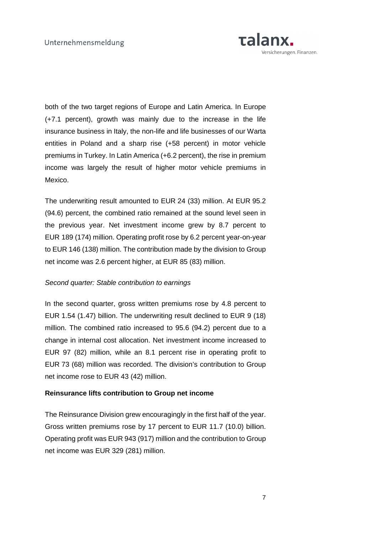

both of the two target regions of Europe and Latin America. In Europe (+7.1 percent), growth was mainly due to the increase in the life insurance business in Italy, the non-life and life businesses of our Warta entities in Poland and a sharp rise (+58 percent) in motor vehicle premiums in Turkey. In Latin America (+6.2 percent), the rise in premium income was largely the result of higher motor vehicle premiums in Mexico.

The underwriting result amounted to EUR 24 (33) million. At EUR 95.2 (94.6) percent, the combined ratio remained at the sound level seen in the previous year. Net investment income grew by 8.7 percent to EUR 189 (174) million. Operating profit rose by 6.2 percent year-on-year to EUR 146 (138) million. The contribution made by the division to Group net income was 2.6 percent higher, at EUR 85 (83) million.

## Second quarter: Stable contribution to earnings

In the second quarter, gross written premiums rose by 4.8 percent to EUR 1.54 (1.47) billion. The underwriting result declined to EUR 9 (18) million. The combined ratio increased to 95.6 (94.2) percent due to a change in internal cost allocation. Net investment income increased to EUR 97 (82) million, while an 8.1 percent rise in operating profit to EUR 73 (68) million was recorded. The division's contribution to Group net income rose to EUR 43 (42) million.

## **Reinsurance lifts contribution to Group net income**

The Reinsurance Division grew encouragingly in the first half of the year. Gross written premiums rose by 17 percent to EUR 11.7 (10.0) billion. Operating profit was EUR 943 (917) million and the contribution to Group net income was EUR 329 (281) million.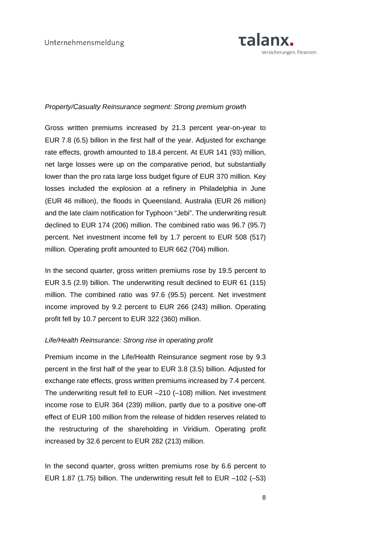

## Property/Casualty Reinsurance segment: Strong premium growth

Gross written premiums increased by 21.3 percent year-on-year to EUR 7.8 (6.5) billion in the first half of the year. Adjusted for exchange rate effects, growth amounted to 18.4 percent. At EUR 141 (93) million, net large losses were up on the comparative period, but substantially lower than the pro rata large loss budget figure of EUR 370 million. Key losses included the explosion at a refinery in Philadelphia in June (EUR 46 million), the floods in Queensland, Australia (EUR 26 million) and the late claim notification for Typhoon "Jebi". The underwriting result declined to EUR 174 (206) million. The combined ratio was 96.7 (95.7) percent. Net investment income fell by 1.7 percent to EUR 508 (517) million. Operating profit amounted to EUR 662 (704) million.

In the second quarter, gross written premiums rose by 19.5 percent to EUR 3.5 (2.9) billion. The underwriting result declined to EUR 61 (115) million. The combined ratio was 97.6 (95.5) percent. Net investment income improved by 9.2 percent to EUR 266 (243) million. Operating profit fell by 10.7 percent to EUR 322 (360) million.

## Life/Health Reinsurance: Strong rise in operating profit

Premium income in the Life/Health Reinsurance segment rose by 9.3 percent in the first half of the year to EUR 3.8 (3.5) billion. Adjusted for exchange rate effects, gross written premiums increased by 7.4 percent. The underwriting result fell to EUR –210 (–108) million. Net investment income rose to EUR 364 (239) million, partly due to a positive one-off effect of EUR 100 million from the release of hidden reserves related to the restructuring of the shareholding in Viridium. Operating profit increased by 32.6 percent to EUR 282 (213) million.

In the second quarter, gross written premiums rose by 6.6 percent to EUR 1.87 (1.75) billion. The underwriting result fell to EUR –102 (–53)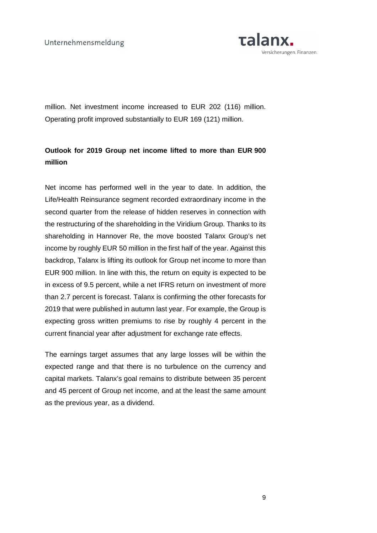

million. Net investment income increased to EUR 202 (116) million. Operating profit improved substantially to EUR 169 (121) million.

# **Outlook for 2019 Group net income lifted to more than EUR 900 million**

Net income has performed well in the year to date. In addition, the Life/Health Reinsurance segment recorded extraordinary income in the second quarter from the release of hidden reserves in connection with the restructuring of the shareholding in the Viridium Group. Thanks to its shareholding in Hannover Re, the move boosted Talanx Group's net income by roughly EUR 50 million in the first half of the year. Against this backdrop, Talanx is lifting its outlook for Group net income to more than EUR 900 million. In line with this, the return on equity is expected to be in excess of 9.5 percent, while a net IFRS return on investment of more than 2.7 percent is forecast. Talanx is confirming the other forecasts for 2019 that were published in autumn last year. For example, the Group is expecting gross written premiums to rise by roughly 4 percent in the current financial year after adjustment for exchange rate effects.

The earnings target assumes that any large losses will be within the expected range and that there is no turbulence on the currency and capital markets. Talanx's goal remains to distribute between 35 percent and 45 percent of Group net income, and at the least the same amount as the previous year, as a dividend.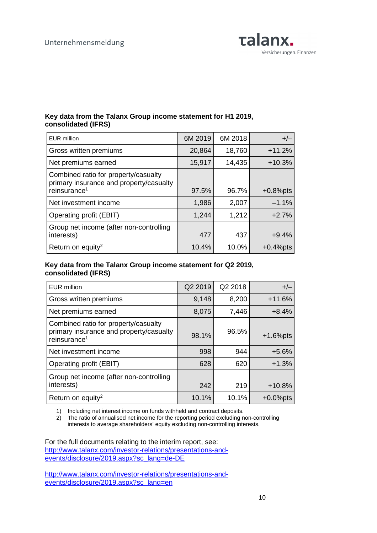

## **Key data from the Talanx Group income statement for H1 2019, consolidated (IFRS)**

| <b>EUR</b> million                                                                                          | 6M 2019 | 6M 2018 | $+/-$       |
|-------------------------------------------------------------------------------------------------------------|---------|---------|-------------|
| Gross written premiums                                                                                      | 20,864  | 18,760  | $+11.2%$    |
| Net premiums earned                                                                                         | 15,917  | 14,435  | $+10.3%$    |
| Combined ratio for property/casualty<br>primary insurance and property/casualty<br>reinsurance <sup>1</sup> | 97.5%   | 96.7%   | $+0.8%$ pts |
| Net investment income                                                                                       | 1,986   | 2,007   | $-1.1%$     |
| Operating profit (EBIT)                                                                                     | 1,244   | 1,212   | $+2.7%$     |
| Group net income (after non-controlling<br>interests)                                                       | 477     | 437     | $+9.4%$     |
| Return on equity <sup>2</sup>                                                                               | 10.4%   | 10.0%   | $+0.4%$ pts |

## **Key data from the Talanx Group income statement for Q2 2019, consolidated (IFRS)**

| <b>EUR million</b>                                                                                          | Q2 2019 | Q2 2018 | $+/-$        |
|-------------------------------------------------------------------------------------------------------------|---------|---------|--------------|
| Gross written premiums                                                                                      | 9,148   | 8,200   | $+11.6%$     |
| Net premiums earned                                                                                         | 8,075   | 7,446   | $+8.4%$      |
| Combined ratio for property/casualty<br>primary insurance and property/casualty<br>reinsurance <sup>1</sup> | 98.1%   | 96.5%   | $+1.6%$ pts  |
| Net investment income                                                                                       | 998     | 944     | $+5.6%$      |
| Operating profit (EBIT)                                                                                     | 628     | 620     | $+1.3%$      |
| Group net income (after non-controlling<br>interests)                                                       | 242     | 219     | $+10.8%$     |
| Return on equity <sup>2</sup>                                                                               | 10.1%   | 10.1%   | $+0.0\%$ pts |

1) Including net interest income on funds withheld and contract deposits.

2) The ratio of annualised net income for the reporting period excluding non-controlling interests to average shareholders' equity excluding non-controlling interests.

For the full documents relating to the interim report, see: http://www.talanx.com/investor-relations/presentations-andevents/disclosure/2019.aspx?sc\_lang=de-DE

http://www.talanx.com/investor-relations/presentations-andevents/disclosure/2019.aspx?sc\_lang=en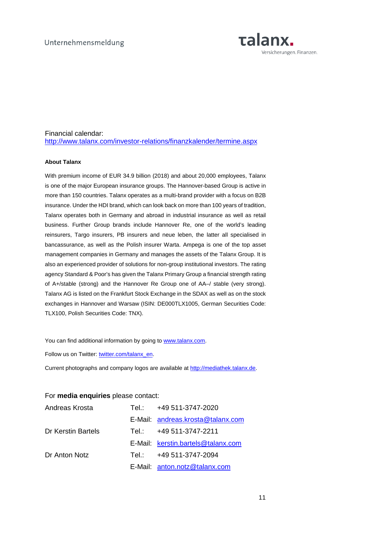

## Financial calendar: http://www.talanx.com/investor-relations/finanzkalender/termine.aspx

#### **About Talanx**

With premium income of EUR 34.9 billion (2018) and about 20,000 employees, Talanx is one of the major European insurance groups. The Hannover-based Group is active in more than 150 countries. Talanx operates as a multi-brand provider with a focus on B2B insurance. Under the HDI brand, which can look back on more than 100 years of tradition, Talanx operates both in Germany and abroad in industrial insurance as well as retail business. Further Group brands include Hannover Re, one of the world's leading reinsurers, Targo insurers, PB insurers and neue leben, the latter all specialised in bancassurance, as well as the Polish insurer Warta. Ampega is one of the top asset management companies in Germany and manages the assets of the Talanx Group. It is also an experienced provider of solutions for non-group institutional investors. The rating agency Standard & Poor's has given the Talanx Primary Group a financial strength rating of A+/stable (strong) and the Hannover Re Group one of AA–/ stable (very strong). Talanx AG is listed on the Frankfurt Stock Exchange in the SDAX as well as on the stock exchanges in Hannover and Warsaw (ISIN: DE000TLX1005, German Securities Code: TLX100, Polish Securities Code: TNX).

You can find additional information by going to www.talanx.com.

Follow us on Twitter: twitter.com/talanx\_en.

Current photographs and company logos are available at http://mediathek.talanx.de.

| Andreas Krosta     | Tel.: Tel | +49 511-3747-2020                  |
|--------------------|-----------|------------------------------------|
|                    |           | E-Mail: andreas.krosta@talanx.com  |
| Dr Kerstin Bartels | Tel.: Tel | +49 511-3747-2211                  |
|                    |           | E-Mail: kerstin.bartels@talanx.com |
| Dr Anton Notz      | Tel.: Tel | +49 511-3747-2094                  |
|                    |           | E-Mail: anton.notz@talanx.com      |

#### For **media enquiries** please contact: